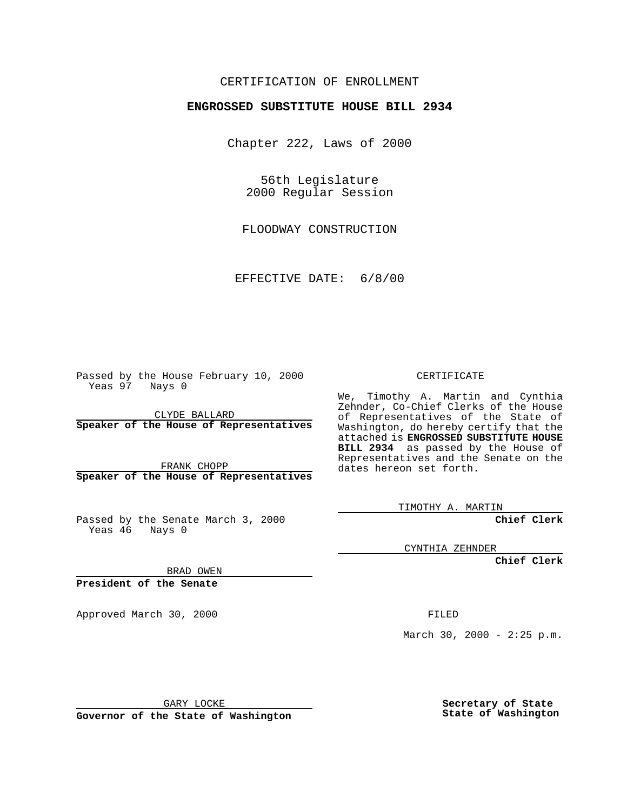## CERTIFICATION OF ENROLLMENT

## **ENGROSSED SUBSTITUTE HOUSE BILL 2934**

Chapter 222, Laws of 2000

56th Legislature 2000 Regular Session

FLOODWAY CONSTRUCTION

EFFECTIVE DATE: 6/8/00

Passed by the House February 10, 2000 Yeas 97 Nays 0

CLYDE BALLARD **Speaker of the House of Representatives**

FRANK CHOPP **Speaker of the House of Representatives**

Passed by the Senate March 3, 2000 Yeas 46 Nays 0

CERTIFICATE

We, Timothy A. Martin and Cynthia Zehnder, Co-Chief Clerks of the House of Representatives of the State of Washington, do hereby certify that the attached is **ENGROSSED SUBSTITUTE HOUSE BILL 2934** as passed by the House of Representatives and the Senate on the dates hereon set forth.

TIMOTHY A. MARTIN

**Chief Clerk**

CYNTHIA ZEHNDER

**Chief Clerk**

BRAD OWEN

**President of the Senate**

Approved March 30, 2000 FILED

March 30, 2000 -  $2:25$  p.m.

GARY LOCKE

**Governor of the State of Washington**

**Secretary of State State of Washington**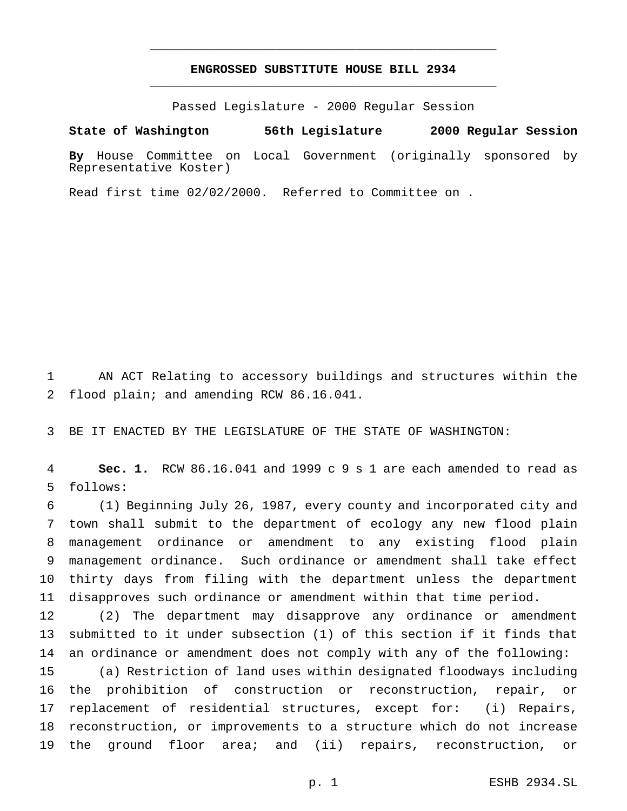## **ENGROSSED SUBSTITUTE HOUSE BILL 2934** \_\_\_\_\_\_\_\_\_\_\_\_\_\_\_\_\_\_\_\_\_\_\_\_\_\_\_\_\_\_\_\_\_\_\_\_\_\_\_\_\_\_\_\_\_\_\_

\_\_\_\_\_\_\_\_\_\_\_\_\_\_\_\_\_\_\_\_\_\_\_\_\_\_\_\_\_\_\_\_\_\_\_\_\_\_\_\_\_\_\_\_\_\_\_

Passed Legislature - 2000 Regular Session

**State of Washington 56th Legislature 2000 Regular Session**

**By** House Committee on Local Government (originally sponsored by Representative Koster)

Read first time 02/02/2000. Referred to Committee on .

 AN ACT Relating to accessory buildings and structures within the flood plain; and amending RCW 86.16.041.

BE IT ENACTED BY THE LEGISLATURE OF THE STATE OF WASHINGTON:

 **Sec. 1.** RCW 86.16.041 and 1999 c 9 s 1 are each amended to read as follows:

 (1) Beginning July 26, 1987, every county and incorporated city and town shall submit to the department of ecology any new flood plain management ordinance or amendment to any existing flood plain management ordinance. Such ordinance or amendment shall take effect thirty days from filing with the department unless the department disapproves such ordinance or amendment within that time period.

 (2) The department may disapprove any ordinance or amendment submitted to it under subsection (1) of this section if it finds that an ordinance or amendment does not comply with any of the following:

 (a) Restriction of land uses within designated floodways including the prohibition of construction or reconstruction, repair, or replacement of residential structures, except for: (i) Repairs, reconstruction, or improvements to a structure which do not increase the ground floor area; and (ii) repairs, reconstruction, or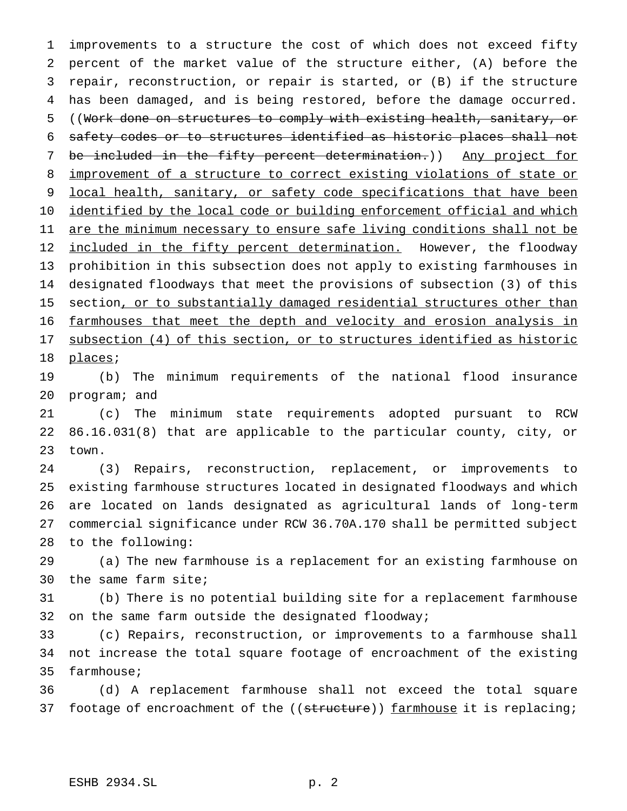improvements to a structure the cost of which does not exceed fifty percent of the market value of the structure either, (A) before the repair, reconstruction, or repair is started, or (B) if the structure has been damaged, and is being restored, before the damage occurred. ((Work done on structures to comply with existing health, sanitary, or safety codes or to structures identified as historic places shall not be included in the fifty percent determination.)) Any project for improvement of a structure to correct existing violations of state or 9 local health, sanitary, or safety code specifications that have been 10 identified by the local code or building enforcement official and which 11 are the minimum necessary to ensure safe living conditions shall not be 12 included in the fifty percent determination. However, the floodway prohibition in this subsection does not apply to existing farmhouses in designated floodways that meet the provisions of subsection (3) of this 15 section, or to substantially damaged residential structures other than farmhouses that meet the depth and velocity and erosion analysis in 17 subsection (4) of this section, or to structures identified as historic places; (b) The minimum requirements of the national flood insurance program; and

 (c) The minimum state requirements adopted pursuant to RCW 86.16.031(8) that are applicable to the particular county, city, or town.

 (3) Repairs, reconstruction, replacement, or improvements to existing farmhouse structures located in designated floodways and which are located on lands designated as agricultural lands of long-term commercial significance under RCW 36.70A.170 shall be permitted subject to the following:

 (a) The new farmhouse is a replacement for an existing farmhouse on the same farm site;

 (b) There is no potential building site for a replacement farmhouse on the same farm outside the designated floodway;

 (c) Repairs, reconstruction, or improvements to a farmhouse shall not increase the total square footage of encroachment of the existing farmhouse;

 (d) A replacement farmhouse shall not exceed the total square 37 footage of encroachment of the ((structure)) farmhouse it is replacing;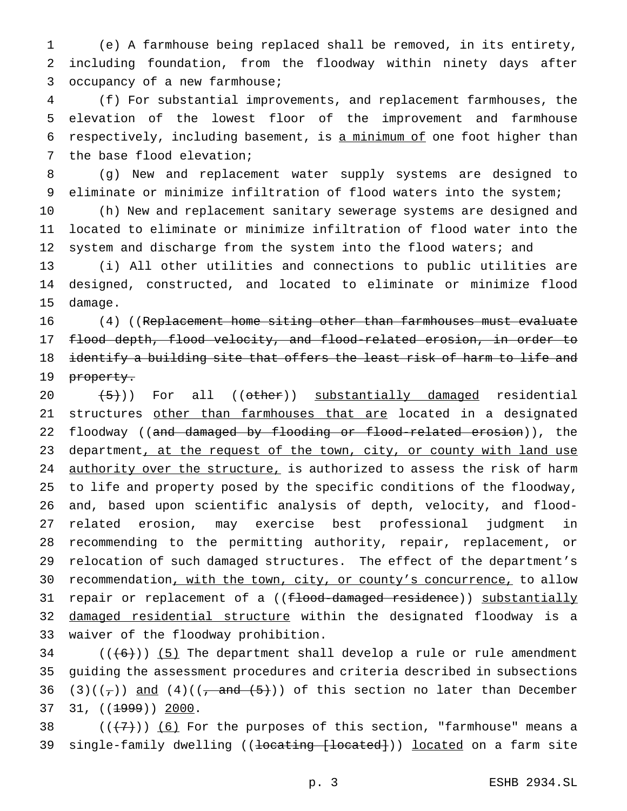(e) A farmhouse being replaced shall be removed, in its entirety, including foundation, from the floodway within ninety days after occupancy of a new farmhouse;

 (f) For substantial improvements, and replacement farmhouses, the elevation of the lowest floor of the improvement and farmhouse respectively, including basement, is a minimum of one foot higher than the base flood elevation;

 (g) New and replacement water supply systems are designed to eliminate or minimize infiltration of flood waters into the system;

 (h) New and replacement sanitary sewerage systems are designed and located to eliminate or minimize infiltration of flood water into the 12 system and discharge from the system into the flood waters; and

 (i) All other utilities and connections to public utilities are designed, constructed, and located to eliminate or minimize flood damage.

 (4) ((Replacement home siting other than farmhouses must evaluate flood depth, flood velocity, and flood-related erosion, in order to identify a building site that offers the least risk of harm to life and 19 property.

 $(5)$ ) For all (( $\theta$ ther)) substantially damaged residential 21 structures other than farmhouses that are located in a designated 22 floodway ((and damaged by flooding or flood-related erosion)), the 23 department, at the request of the town, city, or county with land use 24 authority over the structure, is authorized to assess the risk of harm to life and property posed by the specific conditions of the floodway, and, based upon scientific analysis of depth, velocity, and flood- related erosion, may exercise best professional judgment in recommending to the permitting authority, repair, replacement, or relocation of such damaged structures. The effect of the department's 30 recommendation, with the town, city, or county's concurrence, to allow 31 repair or replacement of a ((flood-damaged residence)) substantially 32 damaged residential structure within the designated floodway is a waiver of the floodway prohibition.

 (( $(6)$ )) (5) The department shall develop a rule or rule amendment guiding the assessment procedures and criteria described in subsections 36 (3)( $(\tau)$ ) and (4)( $(\tau$  and  $(5)$ )) of this section no later than December 37 31, ((<del>1999</del>)) 2000.

38  $((+7))$  (6) For the purposes of this section, "farmhouse" means a 39 single-family dwelling ((<del>locating [located]</del>)) <u>located</u> on a farm site